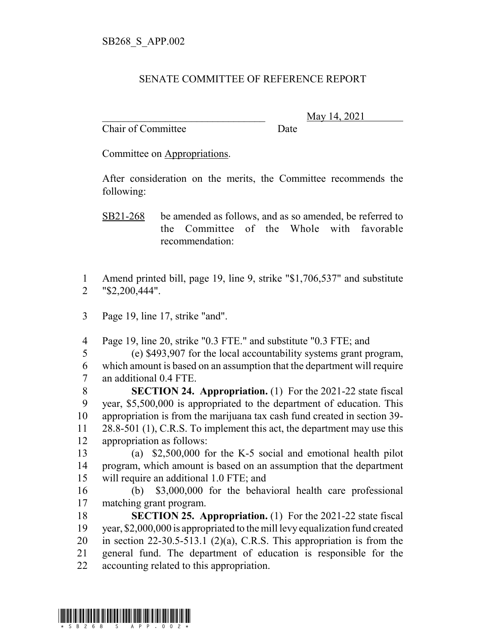## SENATE COMMITTEE OF REFERENCE REPORT

Chair of Committee Date

\_\_\_\_\_\_\_\_\_\_\_\_\_\_\_\_\_\_\_\_\_\_\_\_\_\_\_\_\_\_\_ May 14, 2021

Committee on Appropriations.

After consideration on the merits, the Committee recommends the following:

SB21-268 be amended as follows, and as so amended, be referred to the Committee of the Whole with favorable recommendation:

 Amend printed bill, page 19, line 9, strike "\$1,706,537" and substitute "\$2,200,444".

Page 19, line 17, strike "and".

Page 19, line 20, strike "0.3 FTE." and substitute "0.3 FTE; and

 (e) \$493,907 for the local accountability systems grant program, which amount is based on an assumption that the department will require an additional 0.4 FTE.

 **SECTION 24. Appropriation.** (1) For the 2021-22 state fiscal year, \$5,500,000 is appropriated to the department of education. This appropriation is from the marijuana tax cash fund created in section 39- 11 28.8-501 (1), C.R.S. To implement this act, the department may use this appropriation as follows:

 (a) \$2,500,000 for the K-5 social and emotional health pilot program, which amount is based on an assumption that the department will require an additional 1.0 FTE; and

 (b) \$3,000,000 for the behavioral health care professional matching grant program.

 **SECTION 25. Appropriation.** (1) For the 2021-22 state fiscal year, \$2,000,000 is appropriated to the mill levy equalization fund created 20 in section 22-30.5-513.1 (2)(a), C.R.S. This appropriation is from the general fund. The department of education is responsible for the accounting related to this appropriation.